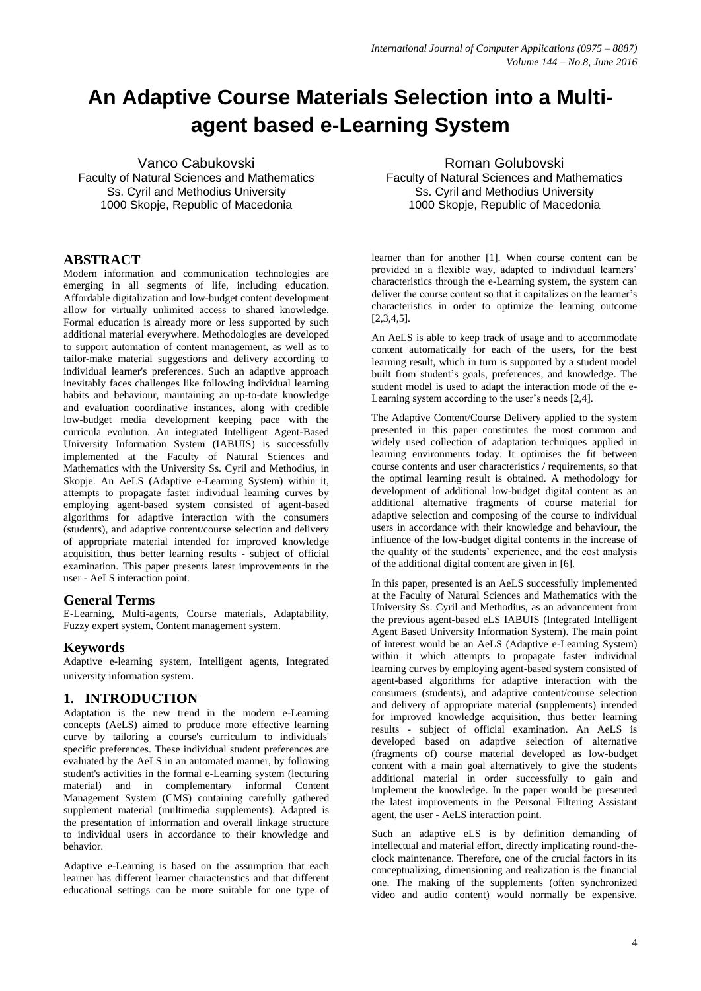# **An Adaptive Course Materials Selection into a Multiagent based e-Learning System**

Vanco Cabukovski Faculty of Natural Sciences and Mathematics Ss. Cyril and Methodius University 1000 Skopje, Republic of Macedonia

# **ABSTRACT**

Modern information and communication technologies are emerging in all segments of life, including education. Affordable digitalization and low-budget content development allow for virtually unlimited access to shared knowledge. Formal education is already more or less supported by such additional material everywhere. Methodologies are developed to support automation of content management, as well as to tailor-make material suggestions and delivery according to individual learner's preferences. Such an adaptive approach inevitably faces challenges like following individual learning habits and behaviour, maintaining an up-to-date knowledge and evaluation coordinative instances, along with credible low-budget media development keeping pace with the curricula evolution. An integrated Intelligent Agent-Based University Information System (IABUIS) is successfully implemented at the Faculty of Natural Sciences and Mathematics with the University Ss. Cyril and Methodius, in Skopje. An AeLS (Adaptive e-Learning System) within it, attempts to propagate faster individual learning curves by employing agent-based system consisted of agent-based algorithms for adaptive interaction with the consumers (students), and adaptive content/course selection and delivery of appropriate material intended for improved knowledge acquisition, thus better learning results - subject of official examination. This paper presents latest improvements in the user - AeLS interaction point.

## **General Terms**

E-Learning, Multi-agents, Course materials, Adaptability, Fuzzy expert system, Content management system.

## **Keywords**

Adaptive e-learning system, Intelligent agents, Integrated university information system.

### **1. INTRODUCTION**

Adaptation is the new trend in the modern e-Learning concepts (AeLS) aimed to produce more effective learning curve by tailoring a course's curriculum to individuals' specific preferences. These individual student preferences are evaluated by the AeLS in an automated manner, by following student's activities in the formal e-Learning system (lecturing material) and in complementary informal Content Management System (CMS) containing carefully gathered supplement material (multimedia supplements). Adapted is the presentation of information and overall linkage structure to individual users in accordance to their knowledge and behavior.

Adaptive e-Learning is based on the assumption that each learner has different learner characteristics and that different educational settings can be more suitable for one type of

Roman Golubovski Faculty of Natural Sciences and Mathematics Ss. Cyril and Methodius University 1000 Skopje, Republic of Macedonia

learner than for another [1]. When course content can be provided in a flexible way, adapted to individual learners' characteristics through the e-Learning system, the system can deliver the course content so that it capitalizes on the learner's characteristics in order to optimize the learning outcome [2,3,4,5].

An AeLS is able to keep track of usage and to accommodate content automatically for each of the users, for the best learning result, which in turn is supported by a student model built from student's goals, preferences, and knowledge. The student model is used to adapt the interaction mode of the e-Learning system according to the user's needs [2,4].

The Adaptive Content/Course Delivery applied to the system presented in this paper constitutes the most common and widely used collection of adaptation techniques applied in learning environments today. It optimises the fit between course contents and user characteristics / requirements, so that the optimal learning result is obtained. A methodology for development of additional low-budget digital content as an additional alternative fragments of course material for adaptive selection and composing of the course to individual users in accordance with their knowledge and behaviour, the influence of the low-budget digital contents in the increase of the quality of the students' experience, and the cost analysis of the additional digital content are given in [6].

In this paper, presented is an AeLS successfully implemented at the Faculty of Natural Sciences and Mathematics with the University Ss. Cyril and Methodius, as an advancement from the previous agent-based eLS IABUIS (Integrated Intelligent Agent Based University Information System). The main point of interest would be an AeLS (Adaptive e-Learning System) within it which attempts to propagate faster individual learning curves by employing agent-based system consisted of agent-based algorithms for adaptive interaction with the consumers (students), and adaptive content/course selection and delivery of appropriate material (supplements) intended for improved knowledge acquisition, thus better learning results - subject of official examination. An AeLS is developed based on adaptive selection of alternative (fragments of) course material developed as low-budget content with a main goal alternatively to give the students additional material in order successfully to gain and implement the knowledge. In the paper would be presented the latest improvements in the Personal Filtering Assistant agent, the user - AeLS interaction point.

Such an adaptive eLS is by definition demanding of intellectual and material effort, directly implicating round-theclock maintenance. Therefore, one of the crucial factors in its conceptualizing, dimensioning and realization is the financial one. The making of the supplements (often synchronized video and audio content) would normally be expensive.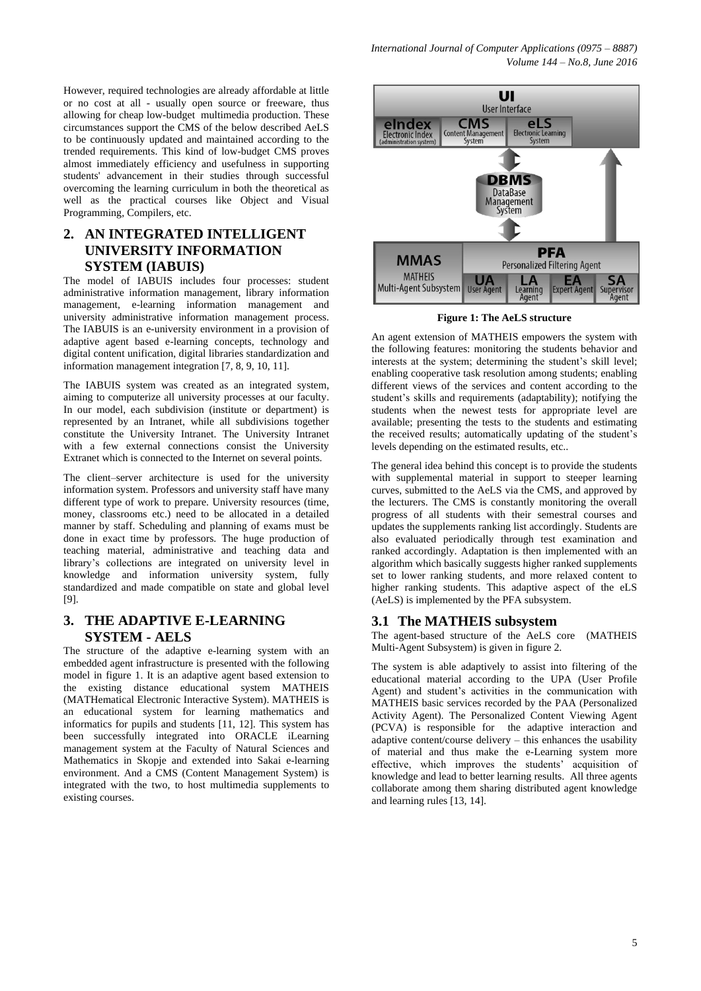However, required technologies are already affordable at little or no cost at all - usually open source or freeware, thus allowing for cheap low-budget multimedia production. These circumstances support the CMS of the below described AeLS to be continuously updated and maintained according to the trended requirements. This kind of low-budget CMS proves almost immediately efficiency and usefulness in supporting students' advancement in their studies through successful overcoming the learning curriculum in both the theoretical as well as the practical courses like Object and Visual Programming, Compilers, etc.

# **2. AN INTEGRATED INTELLIGENT UNIVERSITY INFORMATION SYSTEM (IABUIS)**

The model of IABUIS includes four processes: student administrative information management, library information management, e-learning information management and university administrative information management process. The IABUIS is an e-university environment in a provision of adaptive agent based e-learning concepts, technology and digital content unification, digital libraries standardization and information management integration [7, 8, 9, 10, 11].

The IABUIS system was created as an integrated system, aiming to computerize all university processes at our faculty. In our model, each subdivision (institute or department) is represented by an Intranet, while all subdivisions together constitute the University Intranet. The University Intranet with a few external connections consist the University Extranet which is connected to the Internet on several points.

The client–server architecture is used for the university information system. Professors and university staff have many different type of work to prepare. University resources (time, money, classrooms etc.) need to be allocated in a detailed manner by staff. Scheduling and planning of exams must be done in exact time by professors. The huge production of teaching material, administrative and teaching data and library's collections are integrated on university level in knowledge and information university system, fully standardized and made compatible on state and global level [9].

## **3. THE ADAPTIVE E-LEARNING SYSTEM - AELS**

The structure of the adaptive e-learning system with an embedded agent infrastructure is presented with the following model in figure 1. It is an adaptive agent based extension to the existing distance educational system MATHEIS (MATHematical Electronic Interactive System). MATHEIS is an educational system for learning mathematics and informatics for pupils and students [11, 12]. This system has been successfully integrated into ORACLE iLearning management system at the Faculty of Natural Sciences and Mathematics in Skopje and extended into Sakai e-learning environment. And a CMS (Content Management System) is integrated with the two, to host multimedia supplements to existing courses.



**Figure 1: The AeLS structure**

An agent extension of MATHEIS empowers the system with the following features: monitoring the students behavior and interests at the system; determining the student's skill level; enabling cooperative task resolution among students; enabling different views of the services and content according to the student's skills and requirements (adaptability); notifying the students when the newest tests for appropriate level are available; presenting the tests to the students and estimating the received results; automatically updating of the student's levels depending on the estimated results, etc..

The general idea behind this concept is to provide the students with supplemental material in support to steeper learning curves, submitted to the AeLS via the CMS, and approved by the lecturers. The CMS is constantly monitoring the overall progress of all students with their semestral courses and updates the supplements ranking list accordingly. Students are also evaluated periodically through test examination and ranked accordingly. Adaptation is then implemented with an algorithm which basically suggests higher ranked supplements set to lower ranking students, and more relaxed content to higher ranking students. This adaptive aspect of the eLS (AeLS) is implemented by the PFA subsystem.

## **3.1 The MATHEIS subsystem**

The agent-based structure of the AeLS core (MATHEIS Multi-Agent Subsystem) is given in figure 2.

The system is able adaptively to assist into filtering of the educational material according to the UPA (User Profile Agent) and student's activities in the communication with MATHEIS basic services recorded by the PAA (Personalized Activity Agent). The Personalized Content Viewing Agent (PCVA) is responsible for the adaptive interaction and adaptive content/course delivery – this enhances the usability of material and thus make the e-Learning system more effective, which improves the students' acquisition of knowledge and lead to better learning results. All three agents collaborate among them sharing distributed agent knowledge and learning rules [13, 14].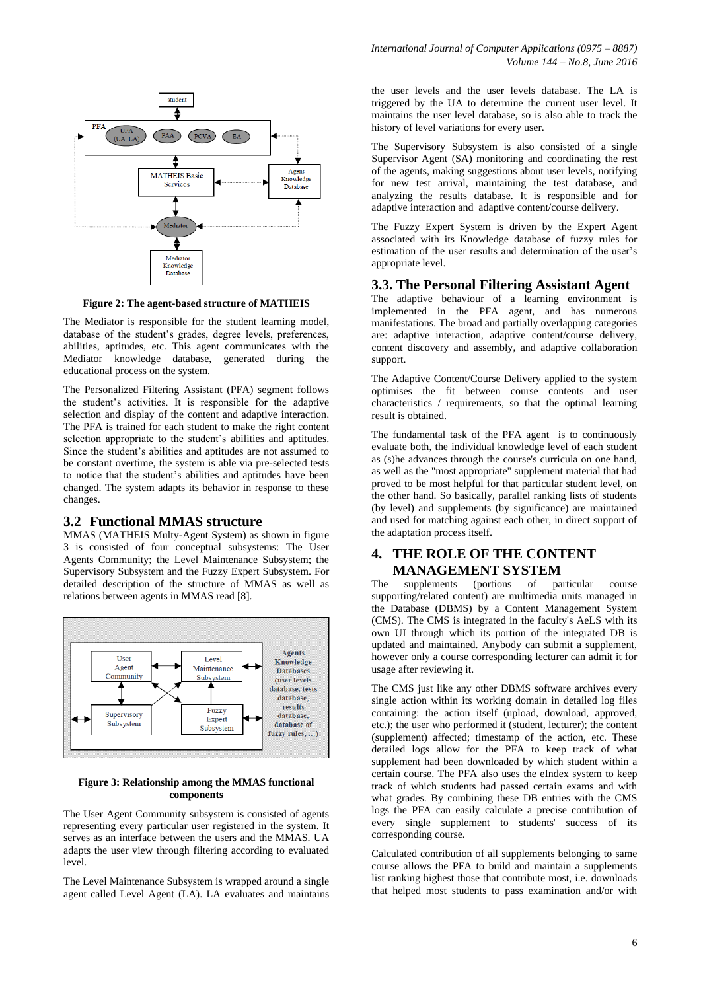

**Figure 2: The agent-based structure of MATHEIS**

The Mediator is responsible for the student learning model, database of the student's grades, degree levels, preferences, abilities, aptitudes, etc. This agent communicates with the Mediator knowledge database, generated during the educational process on the system.

The Personalized Filtering Assistant (PFA) segment follows the student's activities. It is responsible for the adaptive selection and display of the content and adaptive interaction. The PFA is trained for each student to make the right content selection appropriate to the student's abilities and aptitudes. Since the student's abilities and aptitudes are not assumed to be constant overtime, the system is able via pre-selected tests to notice that the student's abilities and aptitudes have been changed. The system adapts its behavior in response to these changes.

#### **3.2 Functional MMAS structure**

MMAS (MATHEIS Multy-Agent System) as shown in figure 3 is consisted of four conceptual subsystems: The User Agents Community; the Level Maintenance Subsystem; the Supervisory Subsystem and the Fuzzy Expert Subsystem. For detailed description of the structure of MMAS as well as relations between agents in MMAS read [8].



#### **Figure 3: Relationship among the MMAS functional components**

The User Agent Community subsystem is consisted of agents representing every particular user registered in the system. It serves as an interface between the users and the MMAS. UA adapts the user view through filtering according to evaluated level.

The Level Maintenance Subsystem is wrapped around a single agent called Level Agent (LA). LA evaluates and maintains

the user levels and the user levels database. The LA is triggered by the UA to determine the current user level. It maintains the user level database, so is also able to track the history of level variations for every user.

The Supervisory Subsystem is also consisted of a single Supervisor Agent (SA) monitoring and coordinating the rest of the agents, making suggestions about user levels, notifying for new test arrival, maintaining the test database, and analyzing the results database. It is responsible and for adaptive interaction and adaptive content/course delivery.

The Fuzzy Expert System is driven by the Expert Agent associated with its Knowledge database of fuzzy rules for estimation of the user results and determination of the user's appropriate level.

#### **3.3. The Personal Filtering Assistant Agent**

The adaptive behaviour of a learning environment is implemented in the PFA agent, and has numerous manifestations. The broad and partially overlapping categories are: adaptive interaction, adaptive content/course delivery, content discovery and assembly, and adaptive collaboration support.

The Adaptive Content/Course Delivery applied to the system optimises the fit between course contents and user characteristics / requirements, so that the optimal learning result is obtained.

The fundamental task of the PFA agent is to continuously evaluate both, the individual knowledge level of each student as (s)he advances through the course's curricula on one hand, as well as the "most appropriate" supplement material that had proved to be most helpful for that particular student level, on the other hand. So basically, parallel ranking lists of students (by level) and supplements (by significance) are maintained and used for matching against each other, in direct support of the adaptation process itself.

## **4. THE ROLE OF THE CONTENT MANAGEMENT SYSTEM**

The supplements (portions of particular course supporting/related content) are multimedia units managed in the Database (DBMS) by a Content Management System (CMS). The CMS is integrated in the faculty's AeLS with its own UI through which its portion of the integrated DB is updated and maintained. Anybody can submit a supplement, however only a course corresponding lecturer can admit it for usage after reviewing it.

The CMS just like any other DBMS software archives every single action within its working domain in detailed log files containing: the action itself (upload, download, approved, etc.); the user who performed it (student, lecturer); the content (supplement) affected; timestamp of the action, etc. These detailed logs allow for the PFA to keep track of what supplement had been downloaded by which student within a certain course. The PFA also uses the eIndex system to keep track of which students had passed certain exams and with what grades. By combining these DB entries with the CMS logs the PFA can easily calculate a precise contribution of every single supplement to students' success of its corresponding course.

Calculated contribution of all supplements belonging to same course allows the PFA to build and maintain a supplements list ranking highest those that contribute most, i.e. downloads that helped most students to pass examination and/or with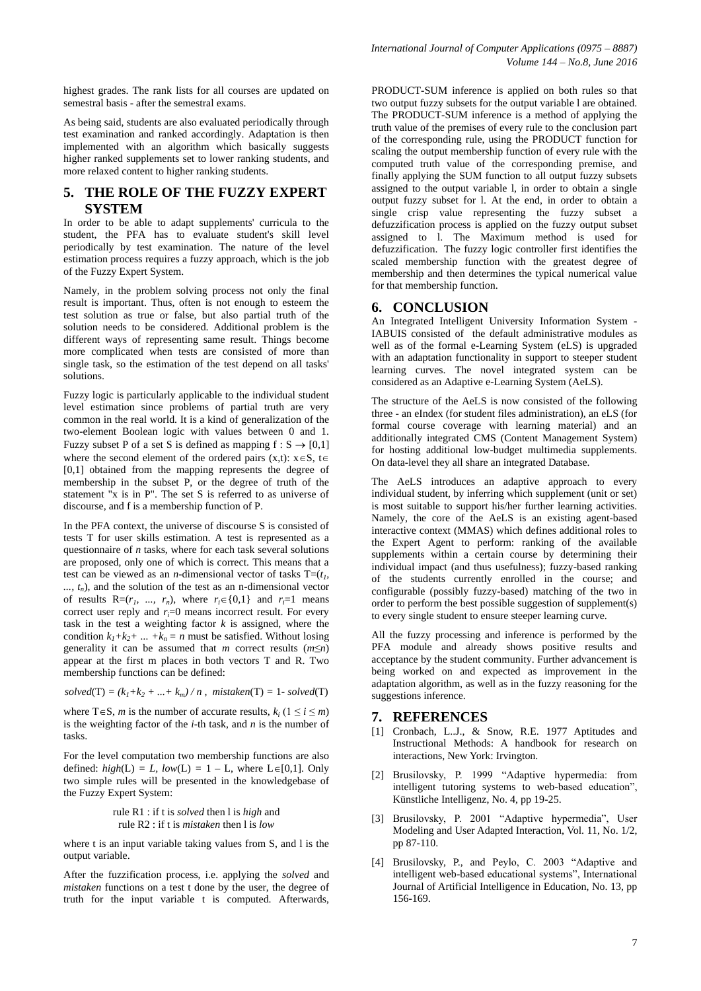highest grades. The rank lists for all courses are updated on semestral basis - after the semestral exams.

As being said, students are also evaluated periodically through test examination and ranked accordingly. Adaptation is then implemented with an algorithm which basically suggests higher ranked supplements set to lower ranking students, and more relaxed content to higher ranking students.

## **5. THE ROLE OF THE FUZZY EXPERT SYSTEM**

In order to be able to adapt supplements' curricula to the student, the PFA has to evaluate student's skill level periodically by test examination. The nature of the level estimation process requires a fuzzy approach, which is the job of the Fuzzy Expert System.

Namely, in the problem solving process not only the final result is important. Thus, often is not enough to esteem the test solution as true or false, but also partial truth of the solution needs to be considered. Additional problem is the different ways of representing same result. Things become more complicated when tests are consisted of more than single task, so the estimation of the test depend on all tasks' solutions.

Fuzzy logic is particularly applicable to the individual student level estimation since problems of partial truth are very common in the real world. It is a kind of generalization of the two-element Boolean logic with values between 0 and 1. Fuzzy subset P of a set S is defined as mapping  $f : S \rightarrow [0,1]$ where the second element of the ordered pairs  $(x,t)$ :  $x \in S$ ,  $t \in$ [0,1] obtained from the mapping represents the degree of membership in the subset P, or the degree of truth of the statement "x is in P". The set S is referred to as universe of discourse, and f is a membership function of P.

In the PFA context, the universe of discourse S is consisted of tests T for user skills estimation. A test is represented as a questionnaire of *n* tasks, where for each task several solutions are proposed, only one of which is correct. This means that a test can be viewed as an *n*-dimensional vector of tasks  $T=(t_1, t_2, \ldots, t_n)$ *..., tn*), and the solution of the test as an n-dimensional vector of results  $R=(r_1, ..., r_n)$ , where  $r_i \in \{0,1\}$  and  $r_i=1$  means correct user reply and  $r_i=0$  means incorrect result. For every task in the test a weighting factor *k* is assigned, where the condition  $k_1 + k_2 + ... + k_n = n$  must be satisfied. Without losing generality it can be assumed that *m* correct results  $(m \le n)$ appear at the first m places in both vectors T and R. Two membership functions can be defined:

*solved*(T) =  $(k_1 + k_2 + ... + k_m) / n$ , mistaken(T) = 1- *solved*(T)

where T $\in$ S, *m* is the number of accurate results,  $k_i$  ( $1 \le i \le m$ ) is the weighting factor of the *i*-th task, and *n* is the number of tasks.

For the level computation two membership functions are also defined:  $high(L) = L$ ,  $low(L) = 1 - L$ , where L $\in [0,1]$ . Only two simple rules will be presented in the knowledgebase of the Fuzzy Expert System:

> rule R1 : if t is *solved* then l is *high* and rule R2 : if t is *mistaken* then l is *low*

where t is an input variable taking values from S, and l is the output variable.

After the fuzzification process, i.e. applying the *solved* and *mistaken* functions on a test t done by the user, the degree of truth for the input variable t is computed. Afterwards,

PRODUCT-SUM inference is applied on both rules so that two output fuzzy subsets for the output variable l are obtained. The PRODUCT-SUM inference is a method of applying the truth value of the premises of every rule to the conclusion part of the corresponding rule, using the PRODUCT function for scaling the output membership function of every rule with the computed truth value of the corresponding premise, and finally applying the SUM function to all output fuzzy subsets assigned to the output variable l, in order to obtain a single output fuzzy subset for l. At the end, in order to obtain a single crisp value representing the fuzzy subset a defuzzification process is applied on the fuzzy output subset assigned to l. The Maximum method is used for defuzzification. The fuzzy logic controller first identifies the scaled membership function with the greatest degree of membership and then determines the typical numerical value for that membership function.

## **6. CONCLUSION**

An Integrated Intelligent University Information System - IABUIS consisted of the default administrative modules as well as of the formal e-Learning System (eLS) is upgraded with an adaptation functionality in support to steeper student learning curves. The novel integrated system can be considered as an Adaptive e-Learning System (AeLS).

The structure of the AeLS is now consisted of the following three - an eIndex (for student files administration), an eLS (for formal course coverage with learning material) and an additionally integrated CMS (Content Management System) for hosting additional low-budget multimedia supplements. On data-level they all share an integrated Database.

The AeLS introduces an adaptive approach to every individual student, by inferring which supplement (unit or set) is most suitable to support his/her further learning activities. Namely, the core of the AeLS is an existing agent-based interactive context (MMAS) which defines additional roles to the Expert Agent to perform: ranking of the available supplements within a certain course by determining their individual impact (and thus usefulness); fuzzy-based ranking of the students currently enrolled in the course; and configurable (possibly fuzzy-based) matching of the two in order to perform the best possible suggestion of supplement(s) to every single student to ensure steeper learning curve.

All the fuzzy processing and inference is performed by the PFA module and already shows positive results and acceptance by the student community. Further advancement is being worked on and expected as improvement in the adaptation algorithm, as well as in the fuzzy reasoning for the suggestions inference.

## **7. REFERENCES**

- [1] Cronbach, L.J., & Snow, R.E. 1977 Aptitudes and Instructional Methods: A handbook for research on interactions, New York: Irvington.
- [2] Brusilovsky, P. 1999 "Adaptive hypermedia: from intelligent tutoring systems to web-based education", Künstliche Intelligenz, No. 4, pp 19-25.
- [3] Brusilovsky, P. 2001 "Adaptive hypermedia", User Modeling and User Adapted Interaction, Vol. 11, No. 1/2, pp 87-110.
- [4] Brusilovsky, P., and Peylo, C. 2003 "Adaptive and intelligent web-based educational systems", International Journal of Artificial Intelligence in Education, No. 13, pp 156-169.